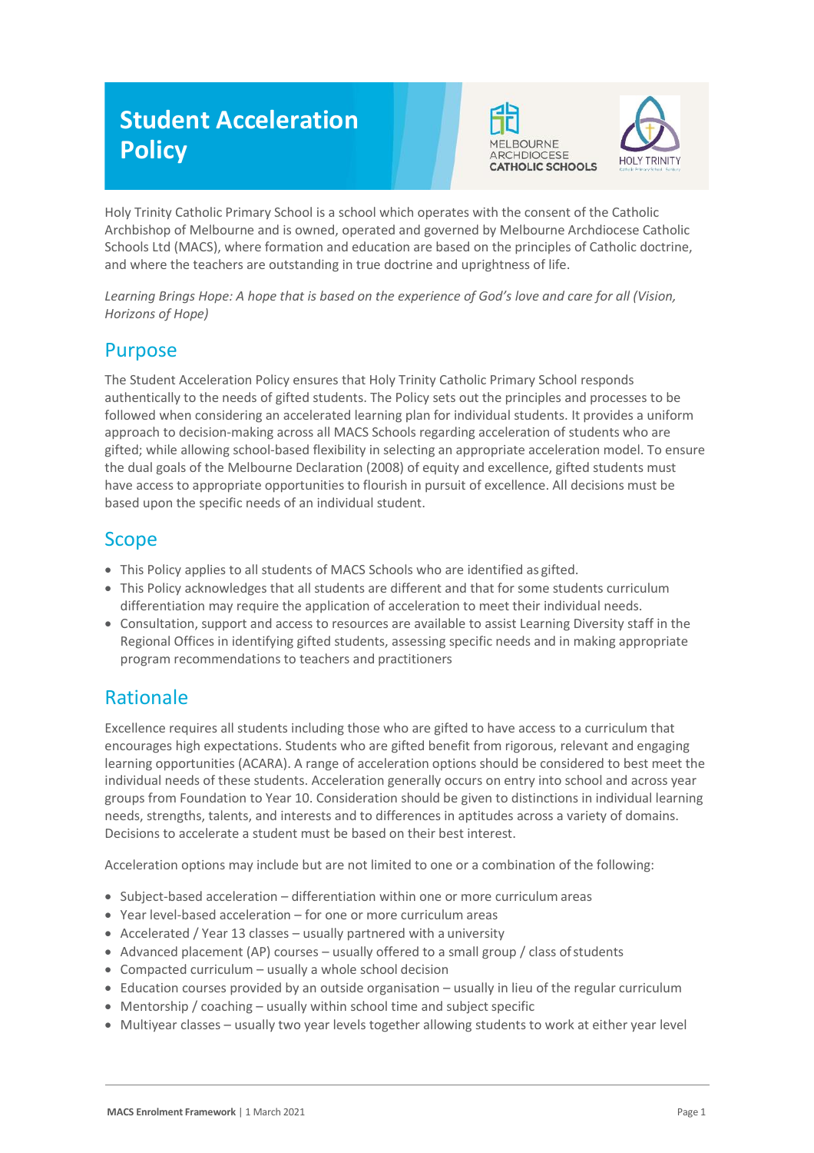# **Student Acceleration Policy**





Holy Trinity Catholic Primary School is a school which operates with the consent of the Catholic Archbishop of Melbourne and is owned, operated and governed by Melbourne Archdiocese Catholic Schools Ltd (MACS), where formation and education are based on the principles of Catholic doctrine, and where the teachers are outstanding in true doctrine and uprightness of life.

*Learning Brings Hope: A hope that is based on the experience of God's love and care for all (Vision, Horizons of Hope)*

## Purpose

The Student Acceleration Policy ensures that Holy Trinity Catholic Primary School responds authentically to the needs of gifted students. The Policy sets out the principles and processes to be followed when considering an accelerated learning plan for individual students. It provides a uniform approach to decision-making across all MACS Schools regarding acceleration of students who are gifted; while allowing school-based flexibility in selecting an appropriate acceleration model. To ensure the dual goals of the Melbourne Declaration (2008) of equity and excellence, gifted students must have access to appropriate opportunities to flourish in pursuit of excellence. All decisions must be based upon the specific needs of an individual student.

## Scope

- This Policy applies to all students of MACS Schools who are identified as gifted.
- This Policy acknowledges that all students are different and that for some students curriculum differentiation may require the application of acceleration to meet their individual needs.
- Consultation, support and access to resources are available to assist Learning Diversity staff in the Regional Offices in identifying gifted students, assessing specific needs and in making appropriate program recommendations to teachers and practitioners

# Rationale

Excellence requires all students including those who are gifted to have access to a curriculum that encourages high expectations. Students who are gifted benefit from rigorous, relevant and engaging learning opportunities (ACARA). A range of acceleration options should be considered to best meet the individual needs of these students. Acceleration generally occurs on entry into school and across year groups from Foundation to Year 10. Consideration should be given to distinctions in individual learning needs, strengths, talents, and interests and to differences in aptitudes across a variety of domains. Decisions to accelerate a student must be based on their best interest.

Acceleration options may include but are not limited to one or a combination of the following:

- Subject-based acceleration differentiation within one or more curriculum areas
- Year level-based acceleration for one or more curriculum areas
- Accelerated / Year 13 classes usually partnered with a university
- Advanced placement (AP) courses usually offered to a small group / class of students
- Compacted curriculum usually a whole school decision
- Education courses provided by an outside organisation usually in lieu of the regular curriculum
- Mentorship / coaching usually within school time and subject specific
- Multiyear classes usually two year levels together allowing students to work at either year level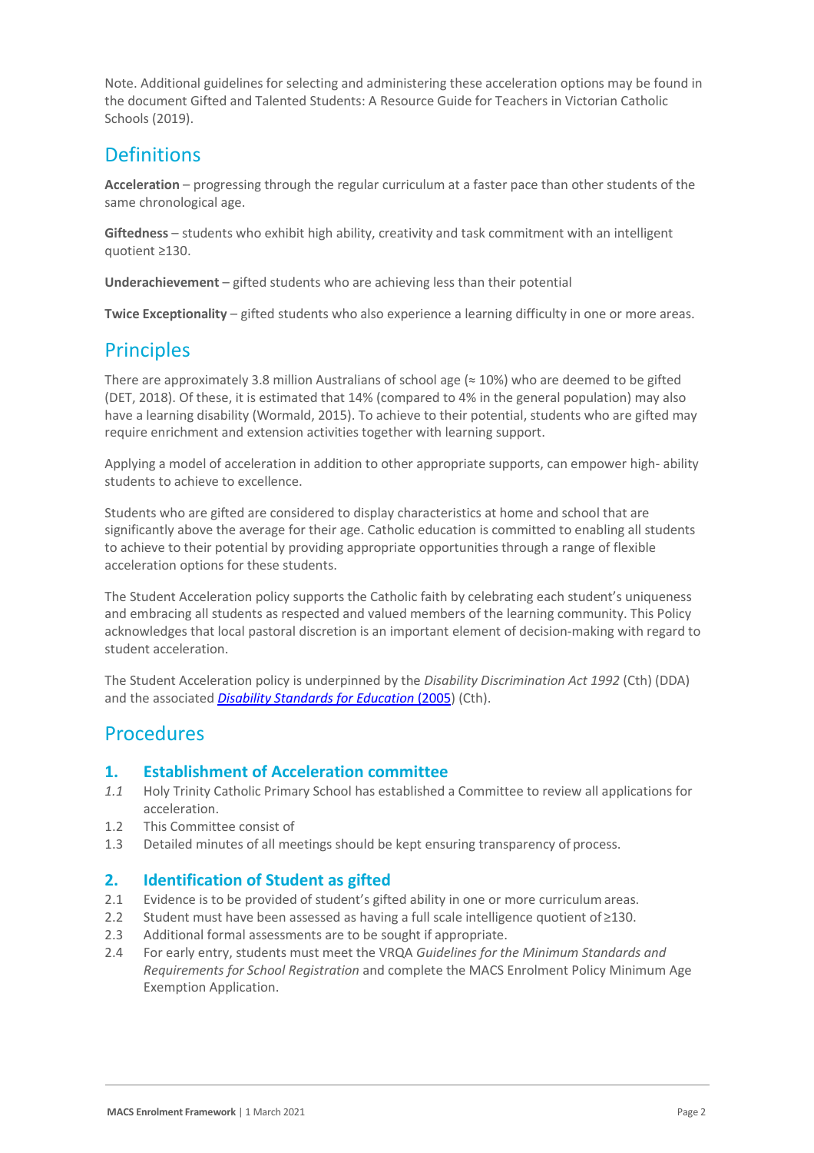Note. Additional guidelines for selecting and administering these acceleration options may be found in the document [Gifted and Talented Students:](https://www.cecv.catholic.edu.au/getmedia/0d923109-6fb2-4f32-a2e6-c437073dfccf/Gifted-and-Talented-handbook.aspx?ext=.pdf) A Resource Guide for Teachers in Victorian Catholic Schools (2019).

# **Definitions**

**Acceleration** – progressing through the regular curriculum at a faster pace than other students of the same chronological age.

**Giftedness** – students who exhibit high ability, creativity and task commitment with an intelligent quotient ≥130.

**Underachievement** – gifted students who are achieving less than their potential

**Twice Exceptionality** – gifted students who also experience a learning difficulty in one or more areas.

## **Principles**

There are approximately 3.8 million Australians of school age ( $\approx$  10%) who are deemed to be gifted (DET, 2018). Of these, it is estimated that 14% (compared to 4% in the general population) may also have a learning disability (Wormald, 2015). To achieve to their potential, students who are gifted may require enrichment and extension activities together with learning support.

Applying a model of acceleration in addition to other appropriate supports, can empower high- ability students to achieve to excellence.

Students who are gifted are considered to display characteristics at home and school that are significantly above the average for their age. Catholic education is committed to enabling all students to achieve to their potential by providing appropriate opportunities through a range of flexible acceleration options for these students.

The Student Acceleration policy supports the Catholic faith by celebrating each student's uniqueness and embracing all students as respected and valued members of the learning community. This Policy acknowledges that local pastoral discretion is an important element of decision-making with regard to student acceleration.

The Student Acceleration policy is underpinned by the *Disability Discrimination Act 1992* (Cth) (DDA) and the associated *[Disability Standards for Education](https://www.education.gov.au/disability-standards-education-2005)* (2005) (Cth).

### **Procedures**

#### **1. Establishment of Acceleration committee**

- *1.1* Holy Trinity Catholic Primary School has established a Committee to review all applications for acceleration.
- 1.2 This Committee consist of
- 1.3 Detailed minutes of all meetings should be kept ensuring transparency of process.

#### **2. Identification of Student as gifted**

- 2.1 Evidence is to be provided of student's gifted ability in one or more curriculum areas.
- 2.2 Student must have been assessed as having a full scale intelligence quotient of ≥130.
- 2.3 Additional formal assessments are to be sought if appropriate.
- 2.4 For early entry, students must meet the VRQA *[Guidelines for the Minimum Standards](https://www.vrqa.vic.gov.au/Documents/schoolstandards.docx) [and](https://www.vrqa.vic.gov.au/Documents/schoolstandards.docx)  [Requirements for School Registration](https://www.vrqa.vic.gov.au/Documents/schoolstandards.docx)* and complete the MACS Enrolment Policy Minimum Age Exemption Application.